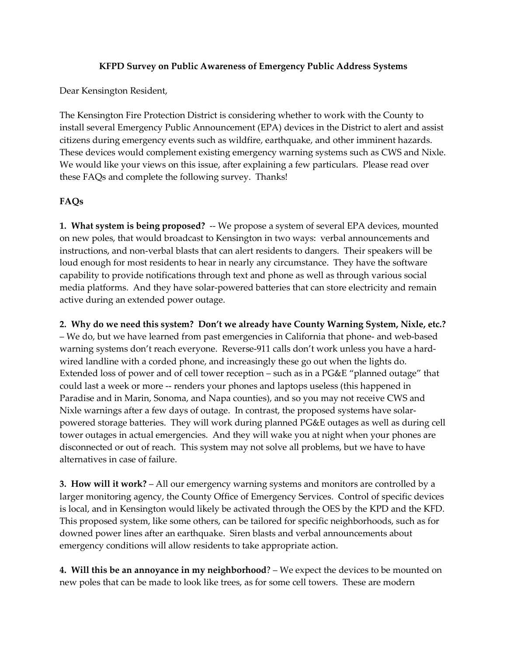## **KFPD Survey on Public Awareness of Emergency Public Address Systems**

Dear Kensington Resident,

The Kensington Fire Protection District is considering whether to work with the County to install several Emergency Public Announcement (EPA) devices in the District to alert and assist citizens during emergency events such as wildfire, earthquake, and other imminent hazards. These devices would complement existing emergency warning systems such as CWS and Nixle. We would like your views on this issue, after explaining a few particulars. Please read over these FAQs and complete the following survey. Thanks!

## **FAQs**

**1. What system is being proposed?** -- We propose a system of several EPA devices, mounted on new poles, that would broadcast to Kensington in two ways: verbal announcements and instructions, and non-verbal blasts that can alert residents to dangers. Their speakers will be loud enough for most residents to hear in nearly any circumstance. They have the software capability to provide notifications through text and phone as well as through various social media platforms. And they have solar-powered batteries that can store electricity and remain active during an extended power outage.

**2. Why do we need this system? Don't we already have County Warning System, Nixle, etc.?** – We do, but we have learned from past emergencies in California that phone- and web-based warning systems don't reach everyone. Reverse-911 calls don't work unless you have a hardwired landline with a corded phone, and increasingly these go out when the lights do. Extended loss of power and of cell tower reception – such as in a PG&E "planned outage" that could last a week or more -- renders your phones and laptops useless (this happened in Paradise and in Marin, Sonoma, and Napa counties), and so you may not receive CWS and Nixle warnings after a few days of outage. In contrast, the proposed systems have solarpowered storage batteries. They will work during planned PG&E outages as well as during cell tower outages in actual emergencies. And they will wake you at night when your phones are disconnected or out of reach. This system may not solve all problems, but we have to have alternatives in case of failure.

**3. How will it work?** – All our emergency warning systems and monitors are controlled by a larger monitoring agency, the County Office of Emergency Services. Control of specific devices is local, and in Kensington would likely be activated through the OES by the KPD and the KFD. This proposed system, like some others, can be tailored for specific neighborhoods, such as for downed power lines after an earthquake. Siren blasts and verbal announcements about emergency conditions will allow residents to take appropriate action.

**4. Will this be an annoyance in my neighborhood**? – We expect the devices to be mounted on new poles that can be made to look like trees, as for some cell towers. These are modern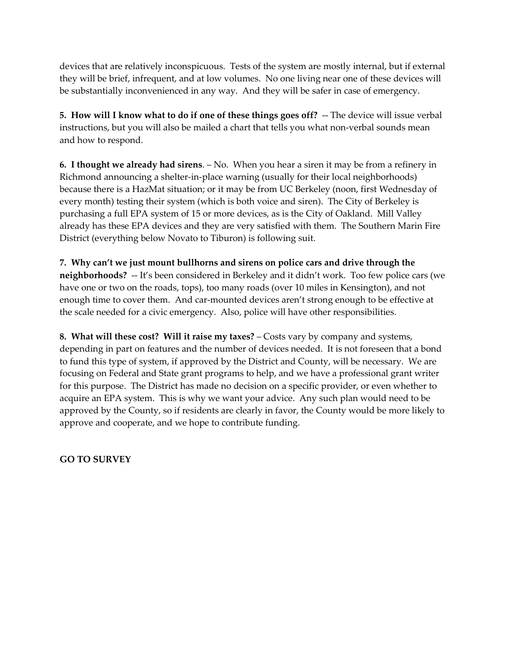devices that are relatively inconspicuous. Tests of the system are mostly internal, but if external they will be brief, infrequent, and at low volumes. No one living near one of these devices will be substantially inconvenienced in any way. And they will be safer in case of emergency.

**5. How will I know what to do if one of these things goes off?** -- The device will issue verbal instructions, but you will also be mailed a chart that tells you what non-verbal sounds mean and how to respond.

**6. I thought we already had sirens**. – No. When you hear a siren it may be from a refinery in Richmond announcing a shelter-in-place warning (usually for their local neighborhoods) because there is a HazMat situation; or it may be from UC Berkeley (noon, first Wednesday of every month) testing their system (which is both voice and siren). The City of Berkeley is purchasing a full EPA system of 15 or more devices, as is the City of Oakland. Mill Valley already has these EPA devices and they are very satisfied with them. The Southern Marin Fire District (everything below Novato to Tiburon) is following suit.

**7. Why can't we just mount bullhorns and sirens on police cars and drive through the neighborhoods?** -- It's been considered in Berkeley and it didn't work. Too few police cars (we have one or two on the roads, tops), too many roads (over 10 miles in Kensington), and not enough time to cover them. And car-mounted devices aren't strong enough to be effective at the scale needed for a civic emergency. Also, police will have other responsibilities.

**8. What will these cost? Will it raise my taxes?** – Costs vary by company and systems, depending in part on features and the number of devices needed. It is not foreseen that a bond to fund this type of system, if approved by the District and County, will be necessary. We are focusing on Federal and State grant programs to help, and we have a professional grant writer for this purpose. The District has made no decision on a specific provider, or even whether to acquire an EPA system. This is why we want your advice. Any such plan would need to be approved by the County, so if residents are clearly in favor, the County would be more likely to approve and cooperate, and we hope to contribute funding.

**GO TO SURVEY**